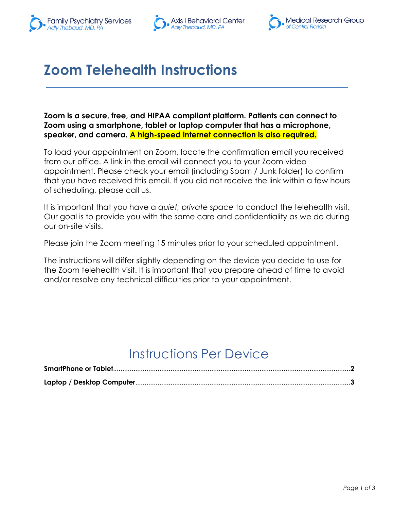



## **Zoom Telehealth Instructions**

**Zoom is a secure, free, and HIPAA compliant platform. Patients can connect to Zoom using a smartphone, tablet or laptop computer that has a microphone, speaker, and camera. A high-speed internet connection is also required.**

To load your appointment on Zoom, locate the confirmation email you received from our office. A link in the email will connect you to your Zoom video appointment. Please check your email (including Spam / Junk folder) to confirm that you have received this email. If you did not receive the link within a few hours of scheduling, please call us.

It is important that you have a *quiet, private space* to conduct the telehealth visit. Our goal is to provide you with the same care and confidentiality as we do during our on-site visits.

Please join the Zoom meeting 15 minutes prior to your scheduled appointment.

The instructions will differ slightly depending on the device you decide to use for the Zoom telehealth visit. It is important that you prepare ahead of time to avoid and/or resolve any technical difficulties prior to your appointment.

#### Instructions Per Device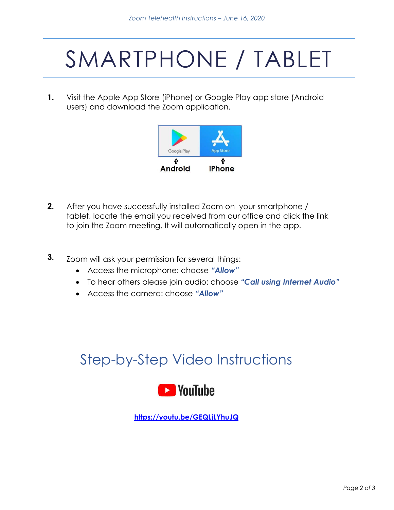# SMARTPHONE / TABLET

**1.** Visit the Apple App Store (iPhone) or Google Play app store (Android users) and download the Zoom application.



- **2.** After you have successfully installed Zoom on your smartphone / tablet, locate the email you received from our office and click the link to join the Zoom meeting. It will automatically open in the app.
- **3.** Zoom will ask your permission for several things:
	- Access the microphone: choose *"Allow"*
	- To hear others please join audio: choose *"Call using Internet Audio"*
	- Access the camera: choose *"Allow"*

#### Step-by-Step Video Instructions



**<https://youtu.be/GEQLjLYhuJQ>**